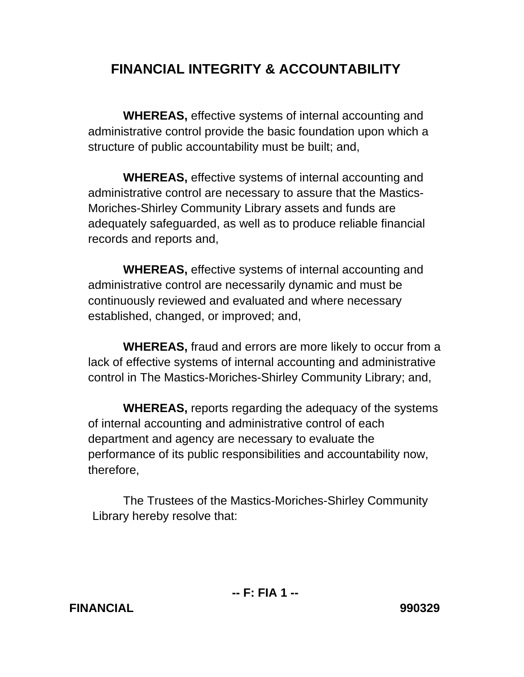## **FINANCIAL INTEGRITY & ACCOUNTABILITY**

 **WHEREAS,** effective systems of internal accounting and administrative control provide the basic foundation upon which a structure of public accountability must be built; and,

 **WHEREAS,** effective systems of internal accounting and administrative control are necessary to assure that the Mastics-Moriches-Shirley Community Library assets and funds are adequately safeguarded, as well as to produce reliable financial records and reports and,

 **WHEREAS,** effective systems of internal accounting and administrative control are necessarily dynamic and must be continuously reviewed and evaluated and where necessary established, changed, or improved; and,

 **WHEREAS,** fraud and errors are more likely to occur from a lack of effective systems of internal accounting and administrative control in The Mastics-Moriches-Shirley Community Library; and,

 **WHEREAS,** reports regarding the adequacy of the systems of internal accounting and administrative control of each department and agency are necessary to evaluate the performance of its public responsibilities and accountability now, therefore,

 The Trustees of the Mastics-Moriches-Shirley Community Library hereby resolve that: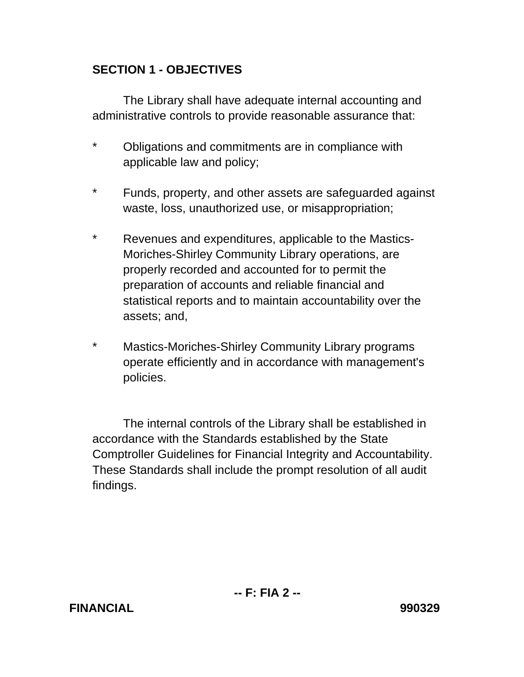## **SECTION 1 - OBJECTIVES**

 The Library shall have adequate internal accounting and administrative controls to provide reasonable assurance that:

- \* Obligations and commitments are in compliance with applicable law and policy;
- \* Funds, property, and other assets are safeguarded against waste, loss, unauthorized use, or misappropriation;
- \* Revenues and expenditures, applicable to the Mastics-Moriches-Shirley Community Library operations, are properly recorded and accounted for to permit the preparation of accounts and reliable financial and statistical reports and to maintain accountability over the assets; and,
- \* Mastics-Moriches-Shirley Community Library programs operate efficiently and in accordance with management's policies.

 The internal controls of the Library shall be established in accordance with the Standards established by the State Comptroller Guidelines for Financial Integrity and Accountability. These Standards shall include the prompt resolution of all audit findings.